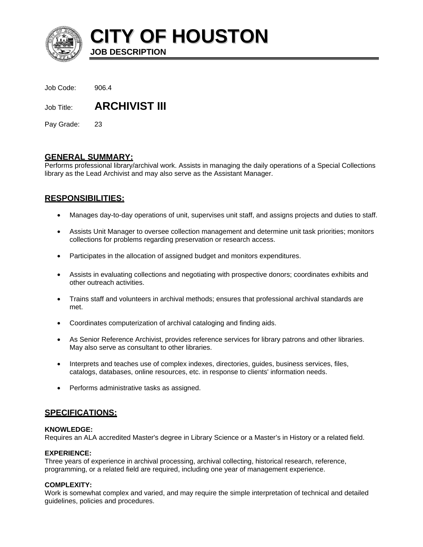

**CITY OF HOUSTON**

Job Code: 906.4

Job Title: **ARCHIVIST III**

**JOB DESCRIPTION** 

Pay Grade: 23

# **GENERAL SUMMARY:**

Performs professional library/archival work. Assists in managing the daily operations of a Special Collections library as the Lead Archivist and may also serve as the Assistant Manager.

# **RESPONSIBILITIES:**

- Manages day-to-day operations of unit, supervises unit staff, and assigns projects and duties to staff.
- Assists Unit Manager to oversee collection management and determine unit task priorities; monitors collections for problems regarding preservation or research access.
- Participates in the allocation of assigned budget and monitors expenditures.
- Assists in evaluating collections and negotiating with prospective donors; coordinates exhibits and other outreach activities.
- Trains staff and volunteers in archival methods; ensures that professional archival standards are met.
- Coordinates computerization of archival cataloging and finding aids.
- As Senior Reference Archivist, provides reference services for library patrons and other libraries. May also serve as consultant to other libraries.
- Interprets and teaches use of complex indexes, directories, guides, business services, files, catalogs, databases, online resources, etc. in response to clients' information needs.
- Performs administrative tasks as assigned.

## **SPECIFICATIONS:**

## **KNOWLEDGE:**

Requires an ALA accredited Master's degree in Library Science or a Master's in History or a related field.

## **EXPERIENCE:**

Three years of experience in archival processing, archival collecting, historical research, reference, programming, or a related field are required, including one year of management experience.

## **COMPLEXITY:**

Work is somewhat complex and varied, and may require the simple interpretation of technical and detailed guidelines, policies and procedures.